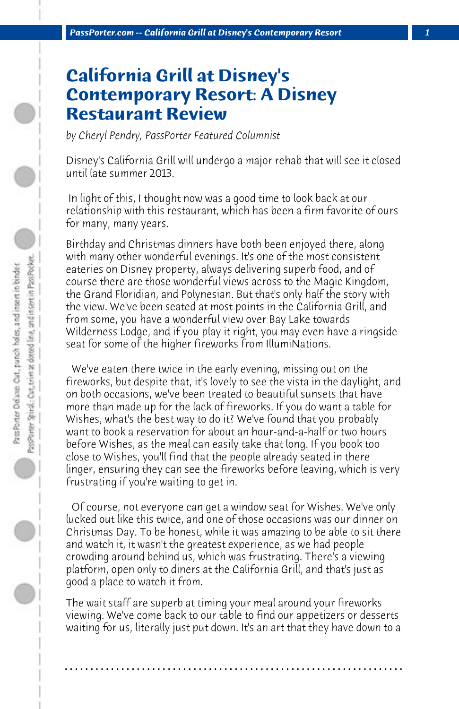## **California Grill at Disney's Contemporary Resort: A Disney Restaurant Review**

*by Cheryl Pendry, PassPorter Featured Columnist*

Disney's California Grill will undergo a major rehab that will see it closed until late summer 2013.

 In light of this, I thought now was a good time to look back at our relationship with this restaurant, which has been a firm favorite of ours for many, many years.

Birthday and Christmas dinners have both been enjoyed there, along with many other wonderful evenings. It's one of the most consistent eateries on Disney property, always delivering superb food, and of course there are those wonderful views across to the Magic Kingdom, the Grand Floridian, and Polynesian. But that's only half the story with the view. We've been seated at most points in the California Grill, and from some, you have a wonderful view over Bay Lake towards Wilderness Lodge, and if you play it right, you may even have a ringside seat for some of the higher fireworks from IllumiNations.

 We've eaten there twice in the early evening, missing out on the fireworks, but despite that, it's lovely to see the vista in the daylight, and on both occasions, we've been treated to beautiful sunsets that have more than made up for the lack of fireworks. If you do want a table for Wishes, what's the best way to do it? We've found that you probably want to book a reservation for about an hour-and-a-half or two hours before Wishes, as the meal can easily take that long. If you book too close to Wishes, you'll find that the people already seated in there linger, ensuring they can see the fireworks before leaving, which is very frustrating if you're waiting to get in.

 Of course, not everyone can get a window seat for Wishes. We've only lucked out like this twice, and one of those occasions was our dinner on Christmas Day. To be honest, while it was amazing to be able to sit there and watch it, it wasn't the greatest experience, as we had people crowding around behind us, which was frustrating. There's a viewing platform, open only to diners at the California Grill, and that's just as good a place to watch it from.

The wait staff are superb at timing your meal around your fireworks viewing. We've come back to our table to find our appetizers or desserts waiting for us, literally just put down. It's an art that they have down to a

**. . . . . . . . . . . . . . . . . . . . . . . . . . . . . . . . . . . . . . . . . . . . . . . . . . . . . . . . . . . . . . . . . .**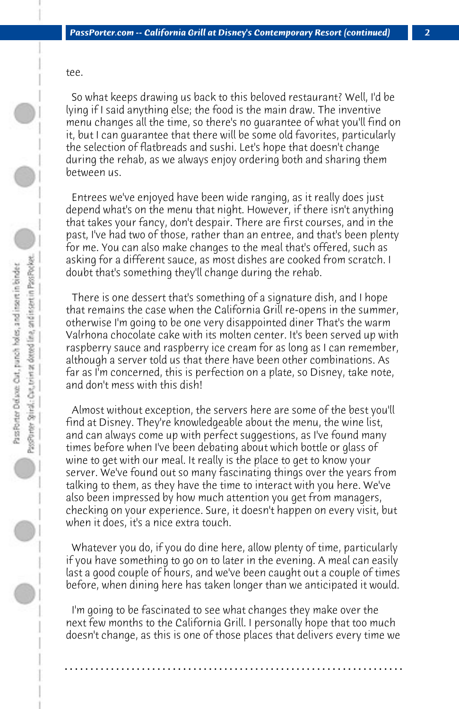tee.

 So what keeps drawing us back to this beloved restaurant? Well, I'd be lying if I said anything else; the food is the main draw. The inventive menu changes all the time, so there's no guarantee of what you'll find on it, but I can guarantee that there will be some old favorites, particularly the selection of flatbreads and sushi. Let's hope that doesn't change during the rehab, as we always enjoy ordering both and sharing them between us.

 Entrees we've enjoyed have been wide ranging, as it really does just depend what's on the menu that night. However, if there isn't anything that takes your fancy, don't despair. There are first courses, and in the past, I've had two of those, rather than an entree, and that's been plenty for me. You can also make changes to the meal that's offered, such as asking for a different sauce, as most dishes are cooked from scratch. I doubt that's something they'll change during the rehab.

 There is one dessert that's something of a signature dish, and I hope that remains the case when the California Grill re-opens in the summer, otherwise I'm going to be one very disappointed diner That's the warm Valrhona chocolate cake with its molten center. It's been served up with raspberry sauce and raspberry ice cream for as long as I can remember, although a server told us that there have been other combinations. As far as I'm concerned, this is perfection on a plate, so Disney, take note, and don't mess with this dish!

 Almost without exception, the servers here are some of the best you'll find at Disney. They're knowledgeable about the menu, the wine list, and can always come up with perfect suggestions, as I've found many times before when I've been debating about which bottle or glass of wine to get with our meal. It really is the place to get to know your server. We've found out so many fascinating things over the years from talking to them, as they have the time to interact with you here. We've also been impressed by how much attention you get from managers, checking on your experience. Sure, it doesn't happen on every visit, but when it does, it's a nice extra touch.

 Whatever you do, if you do dine here, allow plenty of time, particularly if you have something to go on to later in the evening. A meal can easily last a good couple of hours, and we've been caught out a couple of times before, when dining here has taken longer than we anticipated it would.

 I'm going to be fascinated to see what changes they make over the next few months to the California Grill. I personally hope that too much doesn't change, as this is one of those places that delivers every time we

**. . . . . . . . . . . . . . . . . . . . . . . . . . . . . . . . . . . . . . . . . . . . . . . . . . . . . . . . . . . . . . . . . .**